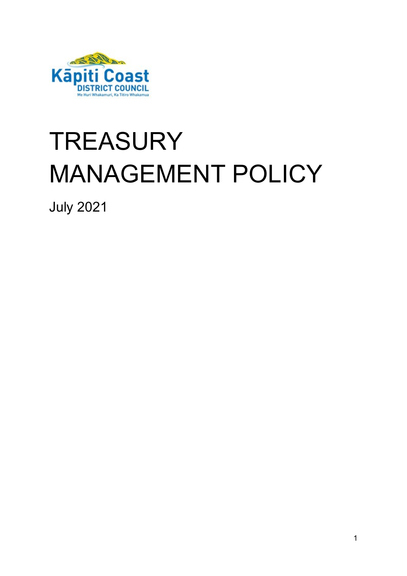

# **TREASURY** MANAGEMENT POLICY

July 2021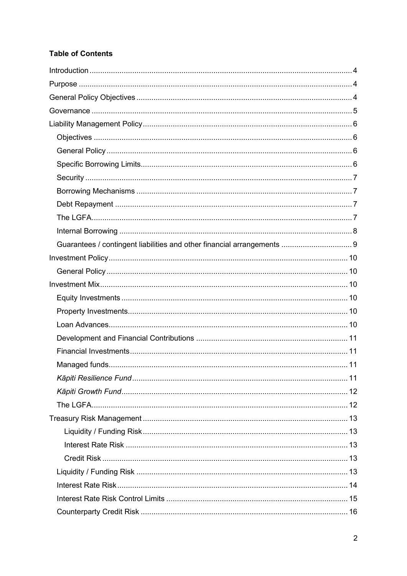# **Table of Contents**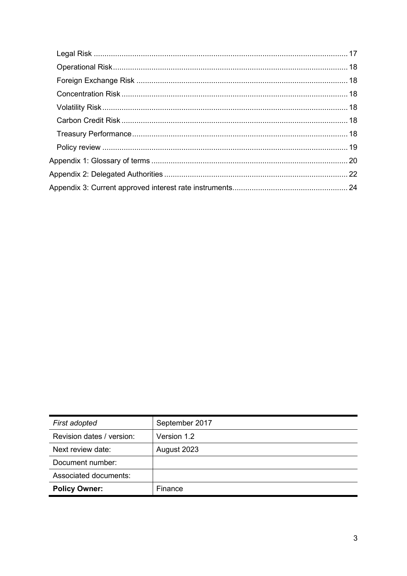| First adopted             | September 2017 |
|---------------------------|----------------|
| Revision dates / version: | Version 1.2    |
| Next review date:         | August 2023    |
| Document number:          |                |
| Associated documents:     |                |
| <b>Policy Owner:</b>      | Finance        |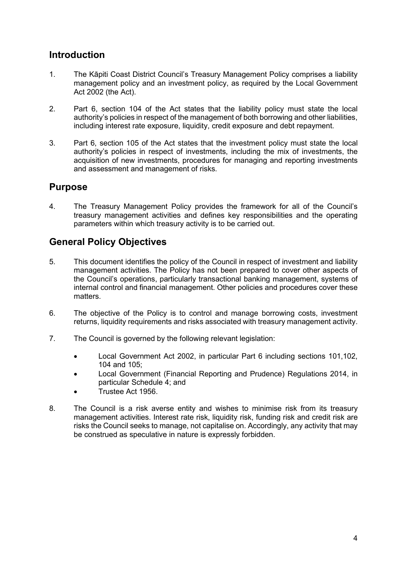# <span id="page-3-0"></span>**Introduction**

- 1. The Kāpiti Coast District Council's Treasury Management Policy comprises a liability management policy and an investment policy, as required by the Local Government Act 2002 (the Act).
- 2. Part 6, section 104 of the Act states that the liability policy must state the local authority's policies in respect of the management of both borrowing and other liabilities, including interest rate exposure, liquidity, credit exposure and debt repayment.
- 3. Part 6, section 105 of the Act states that the investment policy must state the local authority's policies in respect of investments, including the mix of investments, the acquisition of new investments, procedures for managing and reporting investments and assessment and management of risks.

# <span id="page-3-1"></span>**Purpose**

4. The Treasury Management Policy provides the framework for all of the Council's treasury management activities and defines key responsibilities and the operating parameters within which treasury activity is to be carried out.

# <span id="page-3-2"></span>**General Policy Objectives**

- 5. This document identifies the policy of the Council in respect of investment and liability management activities. The Policy has not been prepared to cover other aspects of the Council's operations, particularly transactional banking management, systems of internal control and financial management. Other policies and procedures cover these matters.
- 6. The objective of the Policy is to control and manage borrowing costs, investment returns, liquidity requirements and risks associated with treasury management activity.
- 7. The Council is governed by the following relevant legislation:
	- Local Government Act 2002, in particular Part 6 including sections 101,102, 104 and 105;
	- Local Government (Financial Reporting and Prudence) Regulations 2014, in particular Schedule 4; and
	- Trustee Act 1956.
- 8. The Council is a risk averse entity and wishes to minimise risk from its treasury management activities. Interest rate risk, liquidity risk, funding risk and credit risk are risks the Council seeks to manage, not capitalise on. Accordingly, any activity that may be construed as speculative in nature is expressly forbidden.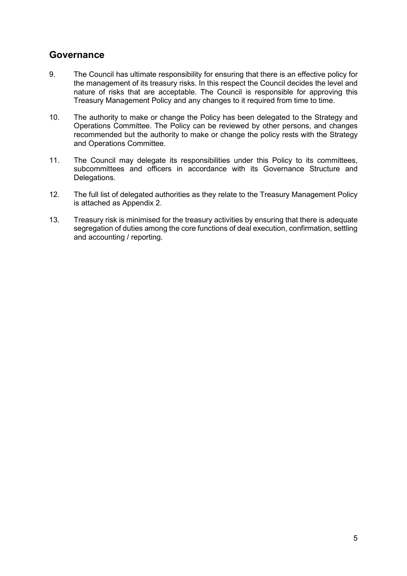# <span id="page-4-0"></span>**Governance**

- 9. The Council has ultimate responsibility for ensuring that there is an effective policy for the management of its treasury risks. In this respect the Council decides the level and nature of risks that are acceptable. The Council is responsible for approving this Treasury Management Policy and any changes to it required from time to time.
- 10. The authority to make or change the Policy has been delegated to the Strategy and Operations Committee. The Policy can be reviewed by other persons, and changes recommended but the authority to make or change the policy rests with the Strategy and Operations Committee.
- 11. The Council may delegate its responsibilities under this Policy to its committees, subcommittees and officers in accordance with its Governance Structure and Delegations.
- 12. The full list of delegated authorities as they relate to the Treasury Management Policy is attached as Appendix 2.
- 13. Treasury risk is minimised for the treasury activities by ensuring that there is adequate segregation of duties among the core functions of deal execution, confirmation, settling and accounting / reporting.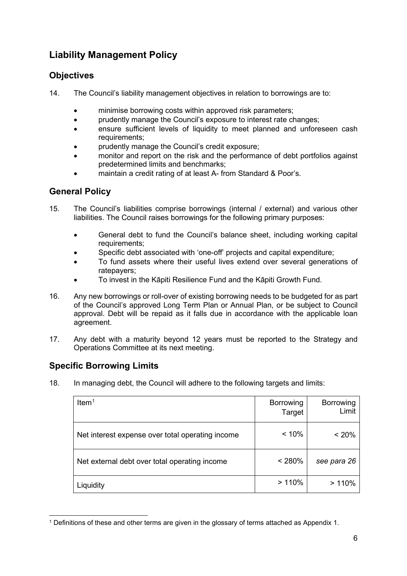# <span id="page-5-0"></span>**Liability Management Policy**

# <span id="page-5-1"></span>**Objectives**

- 14. The Council's liability management objectives in relation to borrowings are to:
	- minimise borrowing costs within approved risk parameters;
	- prudently manage the Council's exposure to interest rate changes;
	- ensure sufficient levels of liquidity to meet planned and unforeseen cash requirements;
	- prudently manage the Council's credit exposure;
	- monitor and report on the risk and the performance of debt portfolios against predetermined limits and benchmarks;
	- maintain a credit rating of at least A- from Standard & Poor's.

### <span id="page-5-2"></span>**General Policy**

- 15. The Council's liabilities comprise borrowings (internal / external) and various other liabilities. The Council raises borrowings for the following primary purposes:
	- General debt to fund the Council's balance sheet, including working capital requirements;
	- Specific debt associated with 'one-off' projects and capital expenditure;
	- To fund assets where their useful lives extend over several generations of ratepayers;
	- To invest in the Kāpiti Resilience Fund and the Kāpiti Growth Fund.
- 16. Any new borrowings or roll-over of existing borrowing needs to be budgeted for as part of the Council's approved Long Term Plan or Annual Plan, or be subject to Council approval. Debt will be repaid as it falls due in accordance with the applicable loan agreement.
- 17. Any debt with a maturity beyond 12 years must be reported to the Strategy and Operations Committee at its next meeting.

# <span id="page-5-3"></span>**Specific Borrowing Limits**

18. In managing debt, the Council will adhere to the following targets and limits:

| Item $1$                                         | <b>Borrowing</b><br>Target | <b>Borrowing</b><br>Limit |
|--------------------------------------------------|----------------------------|---------------------------|
| Net interest expense over total operating income | < 10%                      | < 20%                     |
| Net external debt over total operating income    | < 280%                     | see para 26               |
| Liquidity                                        | >110%                      | >110%                     |

<span id="page-5-4"></span><sup>1</sup> Definitions of these and other terms are given in the glossary of terms attached as Appendix 1.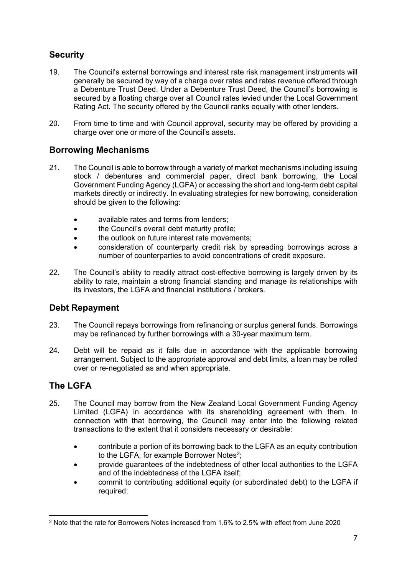# <span id="page-6-0"></span>**Security**

- 19. The Council's external borrowings and interest rate risk management instruments will generally be secured by way of a charge over rates and rates revenue offered through a Debenture Trust Deed. Under a Debenture Trust Deed, the Council's borrowing is secured by a floating charge over all Council rates levied under the Local Government Rating Act. The security offered by the Council ranks equally with other lenders.
- 20. From time to time and with Council approval, security may be offered by providing a charge over one or more of the Council's assets.

# <span id="page-6-1"></span>**Borrowing Mechanisms**

- 21. The Council is able to borrow through a variety of market mechanisms including issuing stock / debentures and commercial paper, direct bank borrowing, the Local Government Funding Agency (LGFA) or accessing the short and long-term debt capital markets directly or indirectly. In evaluating strategies for new borrowing, consideration should be given to the following:
	- available rates and terms from lenders;
	- the Council's overall debt maturity profile;
	- the outlook on future interest rate movements:
	- consideration of counterparty credit risk by spreading borrowings across a number of counterparties to avoid concentrations of credit exposure.
- 22. The Council's ability to readily attract cost-effective borrowing is largely driven by its ability to rate, maintain a strong financial standing and manage its relationships with its investors, the LGFA and financial institutions / brokers.

# <span id="page-6-2"></span>**Debt Repayment**

- 23. The Council repays borrowings from refinancing or surplus general funds. Borrowings may be refinanced by further borrowings with a 30-year maximum term.
- 24. Debt will be repaid as it falls due in accordance with the applicable borrowing arrangement. Subject to the appropriate approval and debt limits, a loan may be rolled over or re-negotiated as and when appropriate.

# <span id="page-6-3"></span>**The LGFA**

- 25. The Council may borrow from the New Zealand Local Government Funding Agency Limited (LGFA) in accordance with its shareholding agreement with them. In connection with that borrowing, the Council may enter into the following related transactions to the extent that it considers necessary or desirable:
	- contribute a portion of its borrowing back to the LGFA as an equity contribution to the LGFA, for example Borrower Notes<sup>[2](#page-6-4)</sup>;
	- provide guarantees of the indebtedness of other local authorities to the LGFA and of the indebtedness of the LGFA itself;
	- commit to contributing additional equity (or subordinated debt) to the LGFA if required;

<span id="page-6-4"></span><sup>2</sup> Note that the rate for Borrowers Notes increased from 1.6% to 2.5% with effect from June 2020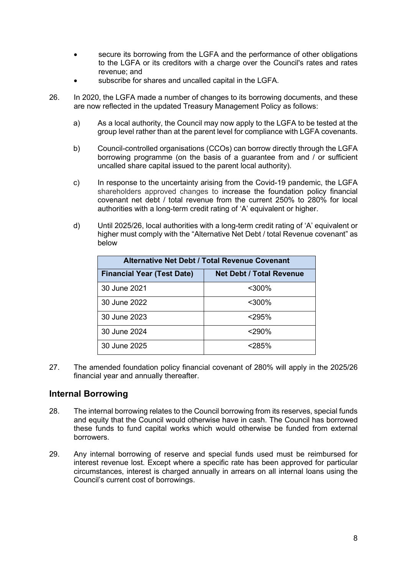- secure its borrowing from the LGFA and the performance of other obligations to the LGFA or its creditors with a charge over the Council's rates and rates revenue; and
- subscribe for shares and uncalled capital in the LGFA.
- 26. In 2020, the LGFA made a number of changes to its borrowing documents, and these are now reflected in the updated Treasury Management Policy as follows:
	- a) As a local authority, the Council may now apply to the LGFA to be tested at the group level rather than at the parent level for compliance with LGFA covenants.
	- b) Council-controlled organisations (CCOs) can borrow directly through the LGFA borrowing programme (on the basis of a guarantee from and / or sufficient uncalled share capital issued to the parent local authority).
	- c) In response to the uncertainty arising from the Covid-19 pandemic, the LGFA shareholders approved changes to increase the foundation policy financial covenant net debt / total revenue from the current 250% to 280% for local authorities with a long-term credit rating of 'A' equivalent or higher.
	- d) Until 2025/26, local authorities with a long-term credit rating of 'A' equivalent or higher must comply with the "Alternative Net Debt / total Revenue covenant" as below

| Alternative Net Debt / Total Revenue Covenant |                                 |  |  |
|-----------------------------------------------|---------------------------------|--|--|
| <b>Financial Year (Test Date)</b>             | <b>Net Debt / Total Revenue</b> |  |  |
| 30 June 2021                                  | $300%$                          |  |  |
| 30 June 2022                                  | $300%$                          |  |  |
| 30 June 2023                                  | $<$ 295%                        |  |  |
| 30 June 2024                                  | <290%                           |  |  |
| 30 June 2025                                  | $<$ 285%                        |  |  |

27. The amended foundation policy financial covenant of 280% will apply in the 2025/26 financial year and annually thereafter.

#### <span id="page-7-0"></span>**Internal Borrowing**

- 28. The internal borrowing relates to the Council borrowing from its reserves, special funds and equity that the Council would otherwise have in cash. The Council has borrowed these funds to fund capital works which would otherwise be funded from external borrowers.
- 29. Any internal borrowing of reserve and special funds used must be reimbursed for interest revenue lost. Except where a specific rate has been approved for particular circumstances, interest is charged annually in arrears on all internal loans using the Council's current cost of borrowings.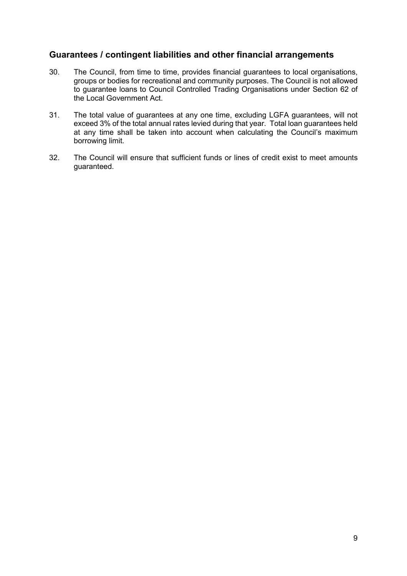#### <span id="page-8-0"></span>**Guarantees / contingent liabilities and other financial arrangements**

- 30. The Council, from time to time, provides financial guarantees to local organisations, groups or bodies for recreational and community purposes. The Council is not allowed to guarantee loans to Council Controlled Trading Organisations under Section 62 of the Local Government Act.
- 31. The total value of guarantees at any one time, excluding LGFA guarantees, will not exceed 3% of the total annual rates levied during that year. Total loan guarantees held at any time shall be taken into account when calculating the Council's maximum borrowing limit.
- 32. The Council will ensure that sufficient funds or lines of credit exist to meet amounts guaranteed.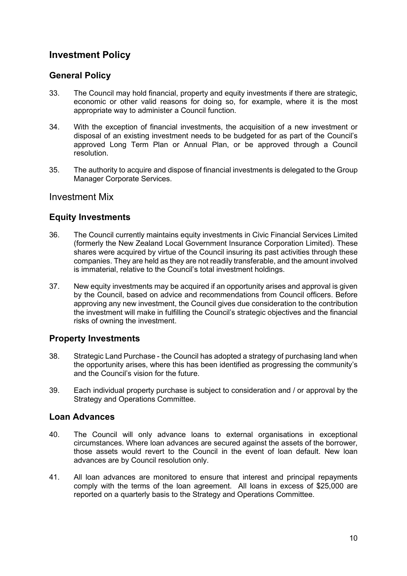# <span id="page-9-0"></span>**Investment Policy**

### <span id="page-9-1"></span>**General Policy**

- 33. The Council may hold financial, property and equity investments if there are strategic, economic or other valid reasons for doing so, for example, where it is the most appropriate way to administer a Council function.
- 34. With the exception of financial investments, the acquisition of a new investment or disposal of an existing investment needs to be budgeted for as part of the Council's approved Long Term Plan or Annual Plan, or be approved through a Council resolution.
- 35. The authority to acquire and dispose of financial investments is delegated to the Group Manager Corporate Services.

#### <span id="page-9-2"></span>Investment Mix

#### <span id="page-9-3"></span>**Equity Investments**

- 36. The Council currently maintains equity investments in Civic Financial Services Limited (formerly the New Zealand Local Government Insurance Corporation Limited). These shares were acquired by virtue of the Council insuring its past activities through these companies. They are held as they are not readily transferable, and the amount involved is immaterial, relative to the Council's total investment holdings.
- 37. New equity investments may be acquired if an opportunity arises and approval is given by the Council, based on advice and recommendations from Council officers. Before approving any new investment, the Council gives due consideration to the contribution the investment will make in fulfilling the Council's strategic objectives and the financial risks of owning the investment.

#### <span id="page-9-4"></span>**Property Investments**

- 38. Strategic Land Purchase the Council has adopted a strategy of purchasing land when the opportunity arises, where this has been identified as progressing the community's and the Council's vision for the future.
- 39. Each individual property purchase is subject to consideration and / or approval by the Strategy and Operations Committee.

#### <span id="page-9-5"></span>**Loan Advances**

- 40. The Council will only advance loans to external organisations in exceptional circumstances. Where loan advances are secured against the assets of the borrower, those assets would revert to the Council in the event of loan default. New loan advances are by Council resolution only.
- 41. All loan advances are monitored to ensure that interest and principal repayments comply with the terms of the loan agreement. All loans in excess of \$25,000 are reported on a quarterly basis to the Strategy and Operations Committee.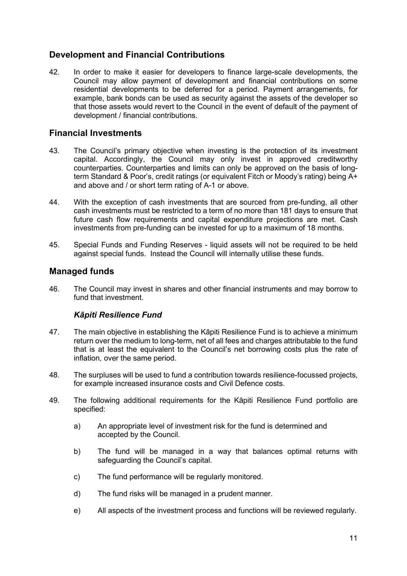# <span id="page-10-0"></span>**Development and Financial Contributions**

42. In order to make it easier for developers to finance large-scale developments, the Council may allow payment of development and financial contributions on some residential developments to be deferred for a period. Payment arrangements, for example, bank bonds can be used as security against the assets of the developer so that those assets would revert to the Council in the event of default of the payment of development / financial contributions.

#### <span id="page-10-1"></span>**Financial Investments**

- 43. The Council's primary objective when investing is the protection of its investment capital. Accordingly, the Council may only invest in approved creditworthy counterparties. Counterparties and limits can only be approved on the basis of longterm Standard & Poor's, credit ratings (or equivalent Fitch or Moody's rating) being A+ and above and / or short term rating of A-1 or above.
- 44. With the exception of cash investments that are sourced from pre-funding, all other cash investments must be restricted to a term of no more than 181 days to ensure that future cash flow requirements and capital expenditure projections are met. Cash investments from pre-funding can be invested for up to a maximum of 18 months.
- 45. Special Funds and Funding Reserves liquid assets will not be required to be held against special funds. Instead the Council will internally utilise these funds.

#### <span id="page-10-2"></span>**Managed funds**

46. The Council may invest in shares and other financial instruments and may borrow to fund that investment.

#### *Kāpiti Resilience Fund*

- <span id="page-10-3"></span>47. The main objective in establishing the Kāpiti Resilience Fund is to achieve a minimum return over the medium to long-term, net of all fees and charges attributable to the fund that is at least the equivalent to the Council's net borrowing costs plus the rate of inflation, over the same period.
- 48. The surpluses will be used to fund a contribution towards resilience-focussed projects, for example increased insurance costs and Civil Defence costs.
- 49. The following additional requirements for the Kāpiti Resilience Fund portfolio are specified:
	- a) An appropriate level of investment risk for the fund is determined and accepted by the Council.
	- b) The fund will be managed in a way that balances optimal returns with safeguarding the Council's capital.
	- c) The fund performance will be regularly monitored.
	- d) The fund risks will be managed in a prudent manner.
	- e) All aspects of the investment process and functions will be reviewed regularly.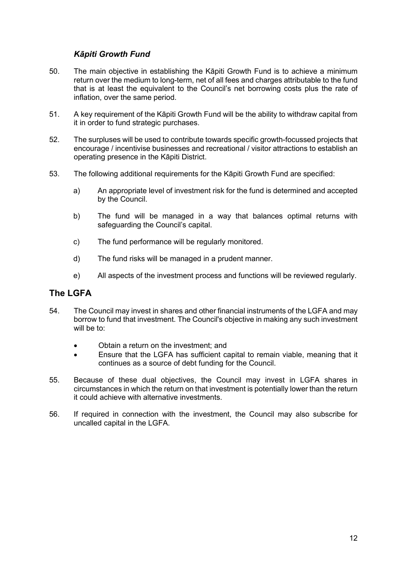#### *Kāpiti Growth Fund*

- <span id="page-11-0"></span>50. The main objective in establishing the Kāpiti Growth Fund is to achieve a minimum return over the medium to long-term, net of all fees and charges attributable to the fund that is at least the equivalent to the Council's net borrowing costs plus the rate of inflation, over the same period.
- 51. A key requirement of the Kāpiti Growth Fund will be the ability to withdraw capital from it in order to fund strategic purchases.
- 52. The surpluses will be used to contribute towards specific growth-focussed projects that encourage / incentivise businesses and recreational / visitor attractions to establish an operating presence in the Kāpiti District.
- 53. The following additional requirements for the Kāpiti Growth Fund are specified:
	- a) An appropriate level of investment risk for the fund is determined and accepted by the Council.
	- b) The fund will be managed in a way that balances optimal returns with safeguarding the Council's capital.
	- c) The fund performance will be regularly monitored.
	- d) The fund risks will be managed in a prudent manner.
	- e) All aspects of the investment process and functions will be reviewed regularly.

#### <span id="page-11-1"></span>**The LGFA**

- 54. The Council may invest in shares and other financial instruments of the LGFA and may borrow to fund that investment. The Council's objective in making any such investment will be to:
	- Obtain a return on the investment; and
	- Ensure that the LGFA has sufficient capital to remain viable, meaning that it continues as a source of debt funding for the Council.
- 55. Because of these dual objectives, the Council may invest in LGFA shares in circumstances in which the return on that investment is potentially lower than the return it could achieve with alternative investments.
- 56. If required in connection with the investment, the Council may also subscribe for uncalled capital in the LGFA.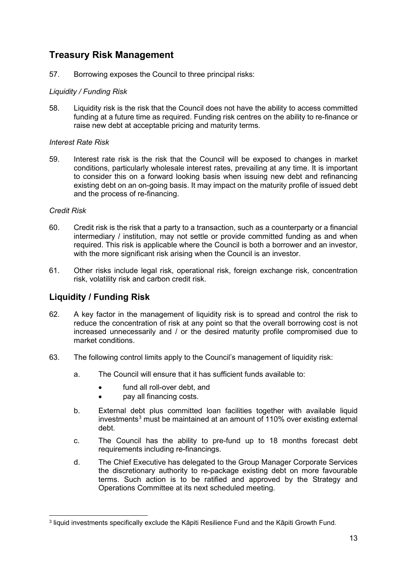# <span id="page-12-0"></span>**Treasury Risk Management**

57. Borrowing exposes the Council to three principal risks:

#### <span id="page-12-1"></span>*Liquidity / Funding Risk*

58. Liquidity risk is the risk that the Council does not have the ability to access committed funding at a future time as required. Funding risk centres on the ability to re-finance or raise new debt at acceptable pricing and maturity terms.

#### <span id="page-12-2"></span>*Interest Rate Risk*

59. Interest rate risk is the risk that the Council will be exposed to changes in market conditions, particularly wholesale interest rates, prevailing at any time. It is important to consider this on a forward looking basis when issuing new debt and refinancing existing debt on an on-going basis. It may impact on the maturity profile of issued debt and the process of re-financing.

#### <span id="page-12-3"></span>*Credit Risk*

- 60. Credit risk is the risk that a party to a transaction, such as a counterparty or a financial intermediary / institution, may not settle or provide committed funding as and when required. This risk is applicable where the Council is both a borrower and an investor, with the more significant risk arising when the Council is an investor.
- 61. Other risks include legal risk, operational risk, foreign exchange risk, concentration risk, volatility risk and carbon credit risk.

# <span id="page-12-4"></span>**Liquidity / Funding Risk**

- 62. A key factor in the management of liquidity risk is to spread and control the risk to reduce the concentration of risk at any point so that the overall borrowing cost is not increased unnecessarily and / or the desired maturity profile compromised due to market conditions.
- 63. The following control limits apply to the Council's management of liquidity risk:
	- a. The Council will ensure that it has sufficient funds available to:
		- fund all roll-over debt, and
		- pay all financing costs.
	- b. External debt plus committed loan facilities together with available liquid investments<sup>[3](#page-12-5)</sup> must be maintained at an amount of 110% over existing external debt.
	- c. The Council has the ability to pre-fund up to 18 months forecast debt requirements including re-financings.
	- d. The Chief Executive has delegated to the Group Manager Corporate Services the discretionary authority to re-package existing debt on more favourable terms. Such action is to be ratified and approved by the Strategy and Operations Committee at its next scheduled meeting.

<span id="page-12-5"></span><sup>3</sup> liquid investments specifically exclude the Kāpiti Resilience Fund and the Kāpiti Growth Fund.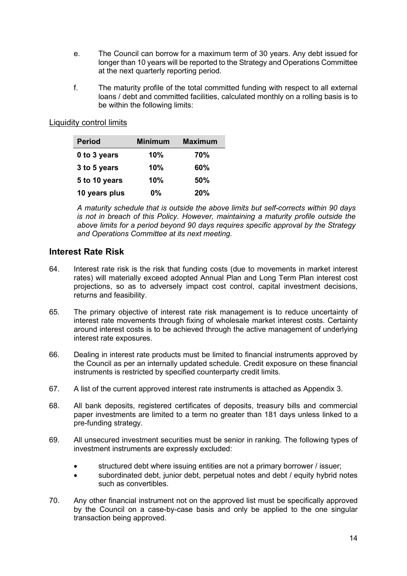- e. The Council can borrow for a maximum term of 30 years. Any debt issued for longer than 10 years will be reported to the Strategy and Operations Committee at the next quarterly reporting period.
- f. The maturity profile of the total committed funding with respect to all external loans / debt and committed facilities, calculated monthly on a rolling basis is to be within the following limits:

#### Liquidity control limits

| <b>Period</b> | <b>Minimum</b> | <b>Maximum</b> |
|---------------|----------------|----------------|
| 0 to 3 years  | 10%            | 70%            |
| 3 to 5 years  | 10%            | 60%            |
| 5 to 10 years | 10%            | 50%            |
| 10 years plus | $0\%$          | 20%            |

*A maturity schedule that is outside the above limits but self-corrects within 90 days is not in breach of this Policy. However, maintaining a maturity profile outside the above limits for a period beyond 90 days requires specific approval by the Strategy and Operations Committee at its next meeting.*

#### <span id="page-13-0"></span>**Interest Rate Risk**

- 64. Interest rate risk is the risk that funding costs (due to movements in market interest rates) will materially exceed adopted Annual Plan and Long Term Plan interest cost projections, so as to adversely impact cost control, capital investment decisions, returns and feasibility.
- 65. The primary objective of interest rate risk management is to reduce uncertainty of interest rate movements through fixing of wholesale market interest costs. Certainty around interest costs is to be achieved through the active management of underlying interest rate exposures.
- 66. Dealing in interest rate products must be limited to financial instruments approved by the Council as per an internally updated schedule. Credit exposure on these financial instruments is restricted by specified counterparty credit limits.
- 67. A list of the current approved interest rate instruments is attached as Appendix 3.
- 68. All bank deposits, registered certificates of deposits, treasury bills and commercial paper investments are limited to a term no greater than 181 days unless linked to a pre-funding strategy.
- 69. All unsecured investment securities must be senior in ranking. The following types of investment instruments are expressly excluded:
	- structured debt where issuing entities are not a primary borrower / issuer;
	- subordinated debt, junior debt, perpetual notes and debt / equity hybrid notes such as convertibles.
- 70. Any other financial instrument not on the approved list must be specifically approved by the Council on a case-by-case basis and only be applied to the one singular transaction being approved.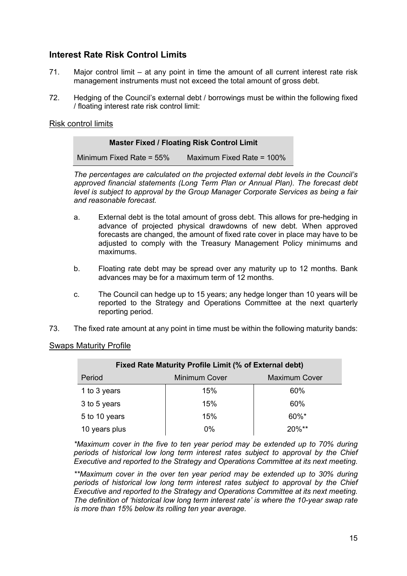# <span id="page-14-0"></span>**Interest Rate Risk Control Limits**

- 71. Major control limit at any point in time the amount of all current interest rate risk management instruments must not exceed the total amount of gross debt.
- 72. Hedging of the Council's external debt / borrowings must be within the following fixed / floating interest rate risk control limit:

#### Risk control limits

| <b>Master Fixed / Floating Risk Control Limit</b> |                           |
|---------------------------------------------------|---------------------------|
| Minimum Fixed Rate = $55\%$                       | Maximum Fixed Rate = 100% |

*The percentages are calculated on the projected external debt levels in the Council's approved financial statements (Long Term Plan or Annual Plan). The forecast debt level is subject to approval by the Group Manager Corporate Services as being a fair and reasonable forecast.*

- a. External debt is the total amount of gross debt. This allows for pre-hedging in advance of projected physical drawdowns of new debt. When approved forecasts are changed, the amount of fixed rate cover in place may have to be adjusted to comply with the Treasury Management Policy minimums and maximums.
- b. Floating rate debt may be spread over any maturity up to 12 months. Bank advances may be for a maximum term of 12 months.
- c. The Council can hedge up to 15 years; any hedge longer than 10 years will be reported to the Strategy and Operations Committee at the next quarterly reporting period.
- 73. The fixed rate amount at any point in time must be within the following maturity bands:

#### Swaps Maturity Profile

| Fixed Rate Maturity Profile Limit (% of External debt) |       |          |  |
|--------------------------------------------------------|-------|----------|--|
| <b>Maximum Cover</b><br><b>Minimum Cover</b><br>Period |       |          |  |
| 1 to 3 years                                           | 15%   | 60%      |  |
| 3 to 5 years                                           | 15%   | 60%      |  |
| 5 to 10 years                                          | 15%   | 60%*     |  |
| 10 years plus                                          | $0\%$ | $20\%**$ |  |

*\*Maximum cover in the five to ten year period may be extended up to 70% during periods of historical low long term interest rates subject to approval by the Chief Executive and reported to the Strategy and Operations Committee at its next meeting.* 

*\*\*Maximum cover in the over ten year period may be extended up to 30% during periods of historical low long term interest rates subject to approval by the Chief Executive and reported to the Strategy and Operations Committee at its next meeting. The definition of 'historical low long term interest rate' is where the 10-year swap rate is more than 15% below its rolling ten year average.*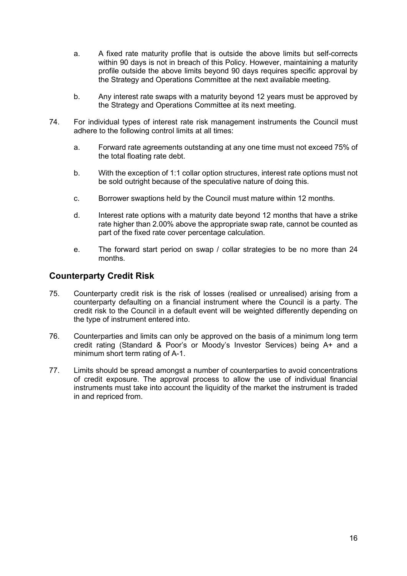- a. A fixed rate maturity profile that is outside the above limits but self-corrects within 90 days is not in breach of this Policy. However, maintaining a maturity profile outside the above limits beyond 90 days requires specific approval by the Strategy and Operations Committee at the next available meeting*.*
- b. Any interest rate swaps with a maturity beyond 12 years must be approved by the Strategy and Operations Committee at its next meeting.
- 74. For individual types of interest rate risk management instruments the Council must adhere to the following control limits at all times:
	- a. Forward rate agreements outstanding at any one time must not exceed 75% of the total floating rate debt.
	- b. With the exception of 1:1 collar option structures, interest rate options must not be sold outright because of the speculative nature of doing this.
	- c. Borrower swaptions held by the Council must mature within 12 months.
	- d. Interest rate options with a maturity date beyond 12 months that have a strike rate higher than 2.00% above the appropriate swap rate, cannot be counted as part of the fixed rate cover percentage calculation.
	- e. The forward start period on swap / collar strategies to be no more than 24 months.

#### <span id="page-15-0"></span>**Counterparty Credit Risk**

- 75. Counterparty credit risk is the risk of losses (realised or unrealised) arising from a counterparty defaulting on a financial instrument where the Council is a party. The credit risk to the Council in a default event will be weighted differently depending on the type of instrument entered into.
- 76. Counterparties and limits can only be approved on the basis of a minimum long term credit rating (Standard & Poor's or Moody's Investor Services) being A+ and a minimum short term rating of A-1.
- 77. Limits should be spread amongst a number of counterparties to avoid concentrations of credit exposure. The approval process to allow the use of individual financial instruments must take into account the liquidity of the market the instrument is traded in and repriced from.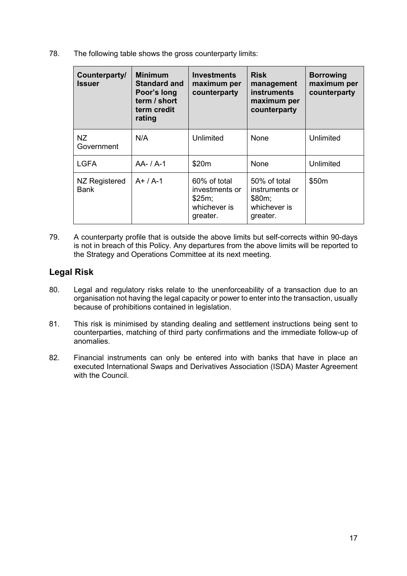78. The following table shows the gross counterparty limits:

| <b>Counterparty/</b><br>Issuer | <b>Minimum</b><br><b>Standard and</b><br>Poor's long<br>term / short<br>term credit<br>rating | <b>Investments</b><br>maximum per<br>counterparty                    | <b>Risk</b><br>management<br><b>instruments</b><br>maximum per<br>counterparty | <b>Borrowing</b><br>maximum per<br>counterparty |
|--------------------------------|-----------------------------------------------------------------------------------------------|----------------------------------------------------------------------|--------------------------------------------------------------------------------|-------------------------------------------------|
| NZ.<br>Government              | N/A                                                                                           | Unlimited                                                            | <b>None</b>                                                                    | Unlimited                                       |
| <b>LGFA</b>                    | $AA - / A - 1$                                                                                | \$20m                                                                | None                                                                           | Unlimited                                       |
| NZ Registered<br>Bank          | $A+ / A-1$                                                                                    | 60% of total<br>investments or<br>\$25m;<br>whichever is<br>greater. | 50% of total<br>instruments or<br>\$80m;<br>whichever is<br>greater.           | \$50m                                           |

79. A counterparty profile that is outside the above limits but self-corrects within 90-days is not in breach of this Policy. Any departures from the above limits will be reported to the Strategy and Operations Committee at its next meeting.

# <span id="page-16-0"></span>**Legal Risk**

- 80. Legal and regulatory risks relate to the unenforceability of a transaction due to an organisation not having the legal capacity or power to enter into the transaction, usually because of prohibitions contained in legislation.
- 81. This risk is minimised by standing dealing and settlement instructions being sent to counterparties, matching of third party confirmations and the immediate follow-up of anomalies.
- 82. Financial instruments can only be entered into with banks that have in place an executed International Swaps and Derivatives Association (ISDA) Master Agreement with the Council.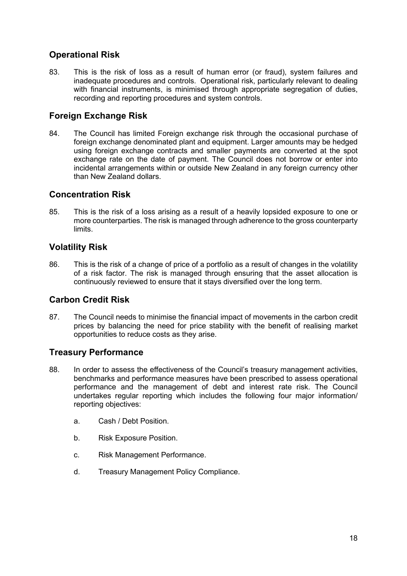# <span id="page-17-0"></span>**Operational Risk**

83. This is the risk of loss as a result of human error (or fraud), system failures and inadequate procedures and controls. Operational risk, particularly relevant to dealing with financial instruments, is minimised through appropriate segregation of duties, recording and reporting procedures and system controls.

# <span id="page-17-1"></span>**Foreign Exchange Risk**

84. The Council has limited Foreign exchange risk through the occasional purchase of foreign exchange denominated plant and equipment. Larger amounts may be hedged using foreign exchange contracts and smaller payments are converted at the spot exchange rate on the date of payment. The Council does not borrow or enter into incidental arrangements within or outside New Zealand in any foreign currency other than New Zealand dollars.

#### <span id="page-17-2"></span>**Concentration Risk**

85. This is the risk of a loss arising as a result of a heavily lopsided exposure to one or more counterparties. The risk is managed through adherence to the gross counterparty limits.

# <span id="page-17-3"></span>**Volatility Risk**

86. This is the risk of a change of price of a portfolio as a result of changes in the volatility of a risk factor. The risk is managed through ensuring that the asset allocation is continuously reviewed to ensure that it stays diversified over the long term.

# <span id="page-17-4"></span>**Carbon Credit Risk**

87. The Council needs to minimise the financial impact of movements in the carbon credit prices by balancing the need for price stability with the benefit of realising market opportunities to reduce costs as they arise.

# <span id="page-17-5"></span>**Treasury Performance**

- 88. In order to assess the effectiveness of the Council's treasury management activities, benchmarks and performance measures have been prescribed to assess operational performance and the management of debt and interest rate risk. The Council undertakes regular reporting which includes the following four major information/ reporting objectives:
	- a. Cash / Debt Position.
	- b. Risk Exposure Position.
	- c. Risk Management Performance.
	- d. Treasury Management Policy Compliance.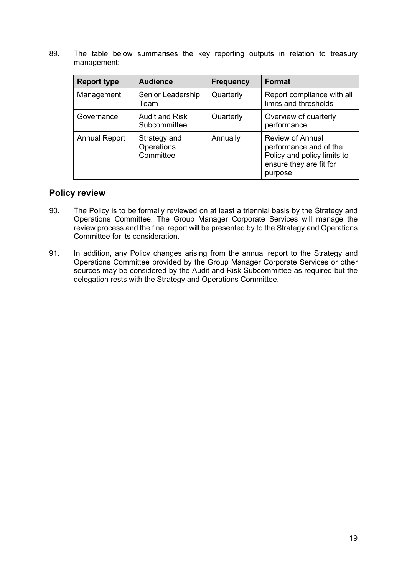89. The table below summarises the key reporting outputs in relation to treasury management:

| <b>Report type</b>   | <b>Audience</b>                         | <b>Frequency</b> | <b>Format</b>                                                                                                          |
|----------------------|-----------------------------------------|------------------|------------------------------------------------------------------------------------------------------------------------|
| Management           | Senior Leadership<br>Team               | Quarterly        | Report compliance with all<br>limits and thresholds                                                                    |
| Governance           | <b>Audit and Risk</b><br>Subcommittee   | Quarterly        | Overview of quarterly<br>performance                                                                                   |
| <b>Annual Report</b> | Strategy and<br>Operations<br>Committee | Annually         | <b>Review of Annual</b><br>performance and of the<br>Policy and policy limits to<br>ensure they are fit for<br>purpose |

#### <span id="page-18-0"></span>**Policy review**

- 90. The Policy is to be formally reviewed on at least a triennial basis by the Strategy and Operations Committee. The Group Manager Corporate Services will manage the review process and the final report will be presented by to the Strategy and Operations Committee for its consideration.
- 91. In addition, any Policy changes arising from the annual report to the Strategy and Operations Committee provided by the Group Manager Corporate Services or other sources may be considered by the Audit and Risk Subcommittee as required but the delegation rests with the Strategy and Operations Committee.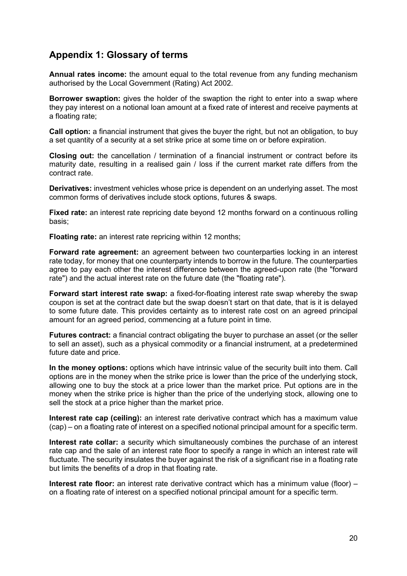# <span id="page-19-0"></span>**Appendix 1: Glossary of terms**

**Annual rates income:** the amount equal to the total revenue from any funding mechanism authorised by the Local Government (Rating) Act 2002.

**Borrower swaption:** gives the holder of the swaption the right to enter into a swap where they pay interest on a notional loan amount at a fixed rate of interest and receive payments at a floating rate;

**Call option:** a financial instrument that gives the buyer the right, but not an obligation, to buy a set quantity of a security at a set strike price at some time on or before expiration.

**Closing out:** the cancellation / termination of a financial instrument or contract before its maturity date, resulting in a realised gain / loss if the current market rate differs from the contract rate.

**Derivatives:** investment vehicles whose price is dependent on an underlying asset. The most common forms of derivatives include stock options, futures & swaps.

**Fixed rate:** an interest rate repricing date beyond 12 months forward on a continuous rolling basis;

**Floating rate:** an interest rate repricing within 12 months;

**Forward rate agreement:** an agreement between two counterparties locking in an interest rate today, for money that one counterparty intends to borrow in the future. The counterparties agree to pay each other the interest difference between the agreed-upon rate (the "forward rate") and the actual interest rate on the future date (the "floating rate").

**Forward start interest rate swap:** a fixed-for-floating interest rate swap whereby the swap coupon is set at the contract date but the swap doesn't start on that date, that is it is delayed to some future date. This provides certainty as to interest rate cost on an agreed principal amount for an agreed period, commencing at a future point in time.

**Futures contract:** a financial contract obligating the buyer to purchase an asset (or the seller to sell an asset), such as a physical commodity or a financial instrument, at a predetermined future date and price.

**In the money options:** options which have intrinsic value of the security built into them. Call options are in the money when the strike price is lower than the price of the underlying stock, allowing one to buy the stock at a price lower than the market price. Put options are in the money when the strike price is higher than the price of the underlying stock, allowing one to sell the stock at a price higher than the market price.

**Interest rate cap (ceiling):** an interest rate derivative contract which has a maximum value (cap) – on a floating rate of interest on a specified notional principal amount for a specific term.

**Interest rate collar:** a security which simultaneously combines the purchase of an interest rate cap and the sale of an interest rate floor to specify a range in which an interest rate will fluctuate. The security insulates the buyer against the risk of a significant rise in a floating rate but limits the benefits of a drop in that floating rate.

**Interest rate floor:** an interest rate derivative contract which has a minimum value (floor) – on a floating rate of interest on a specified notional principal amount for a specific term.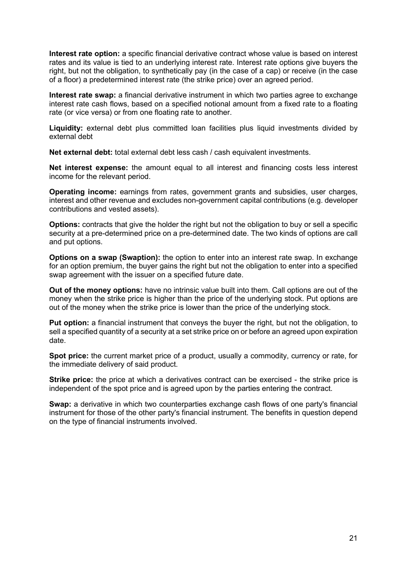**Interest rate option:** a specific financial derivative contract whose value is based on interest rates and its value is tied to an underlying interest rate. Interest rate options give buyers the right, but not the obligation, to synthetically pay (in the case of a cap) or receive (in the case of a floor) a predetermined interest rate (the strike price) over an agreed period.

**Interest rate swap:** a financial derivative instrument in which two parties agree to exchange interest rate cash flows, based on a specified notional amount from a fixed rate to a floating rate (or vice versa) or from one floating rate to another.

**Liquidity:** external debt plus committed loan facilities plus liquid investments divided by external debt

**Net external debt:** total external debt less cash / cash equivalent investments.

**Net interest expense:** the amount equal to all interest and financing costs less interest income for the relevant period.

**Operating income:** earnings from rates, government grants and subsidies, user charges, interest and other revenue and excludes non-government capital contributions (e.g. developer contributions and vested assets).

**Options:** contracts that give the holder the right but not the obligation to buy or sell a specific security at a pre-determined price on a pre-determined date. The two kinds of options are call and put options.

**Options on a swap (Swaption):** the option to enter into an interest rate swap. In exchange for an option premium, the buyer gains the right but not the obligation to enter into a specified swap agreement with the issuer on a specified future date.

**Out of the money options:** have no intrinsic value built into them. Call options are out of the money when the strike price is higher than the price of the underlying stock. Put options are out of the money when the strike price is lower than the price of the underlying stock.

**Put option:** a financial instrument that conveys the buyer the right, but not the obligation, to sell a specified quantity of a security at a set strike price on or before an agreed upon expiration date.

**Spot price:** the current market price of a product, usually a commodity, currency or rate, for the immediate delivery of said product.

**Strike price:** the price at which a derivatives contract can be exercised - the strike price is independent of the spot price and is agreed upon by the parties entering the contract.

**Swap:** a derivative in which two counterparties exchange cash flows of one party's financial instrument for those of the other party's financial instrument. The benefits in question depend on the type of financial instruments involved.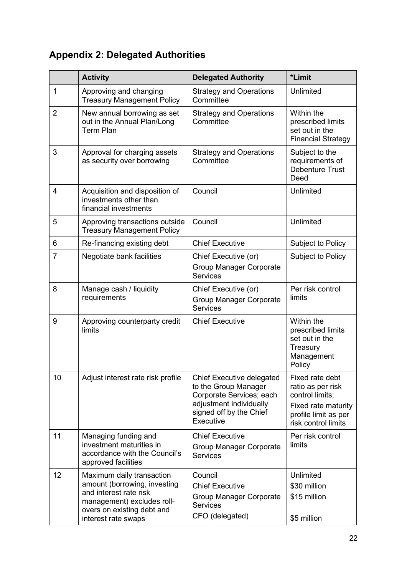# <span id="page-21-0"></span>**Appendix 2: Delegated Authorities**

|                | <b>Activity</b>                                                                                                                                                        | <b>Delegated Authority</b>                                                                                                                              | *Limit                                                                                                                        |
|----------------|------------------------------------------------------------------------------------------------------------------------------------------------------------------------|---------------------------------------------------------------------------------------------------------------------------------------------------------|-------------------------------------------------------------------------------------------------------------------------------|
| 1              | Approving and changing<br><b>Treasury Management Policy</b>                                                                                                            | <b>Strategy and Operations</b><br>Committee                                                                                                             | Unlimited                                                                                                                     |
| $\overline{2}$ | New annual borrowing as set<br>out in the Annual Plan/Long<br><b>Term Plan</b>                                                                                         | <b>Strategy and Operations</b><br>Committee                                                                                                             | Within the<br>prescribed limits<br>set out in the<br><b>Financial Strategy</b>                                                |
| 3              | Approval for charging assets<br>as security over borrowing                                                                                                             | <b>Strategy and Operations</b><br>Committee                                                                                                             | Subject to the<br>requirements of<br><b>Debenture Trust</b><br>Deed                                                           |
| 4              | Acquisition and disposition of<br>investments other than<br>financial investments                                                                                      | Council                                                                                                                                                 | Unlimited                                                                                                                     |
| 5              | Approving transactions outside<br><b>Treasury Management Policy</b>                                                                                                    | Council                                                                                                                                                 | Unlimited                                                                                                                     |
| 6              | Re-financing existing debt                                                                                                                                             | <b>Chief Executive</b>                                                                                                                                  | Subject to Policy                                                                                                             |
| 7              | Negotiate bank facilities                                                                                                                                              | Chief Executive (or)<br><b>Group Manager Corporate</b><br><b>Services</b>                                                                               | <b>Subject to Policy</b>                                                                                                      |
| 8              | Manage cash / liquidity<br>requirements                                                                                                                                | Chief Executive (or)<br><b>Group Manager Corporate</b><br><b>Services</b>                                                                               | Per risk control<br>limits                                                                                                    |
| 9              | Approving counterparty credit<br>limits                                                                                                                                | <b>Chief Executive</b>                                                                                                                                  | Within the<br>prescribed limits<br>set out in the<br>Treasury<br>Management<br>Policy                                         |
| 10             | Adjust interest rate risk profile                                                                                                                                      | <b>Chief Executive delegated</b><br>to the Group Manager<br>Corporate Services; each<br>adjustment individually<br>signed off by the Chief<br>Executive | Fixed rate debt<br>ratio as per risk<br>control limits;<br>Fixed rate maturity<br>profile limit as per<br>risk control limits |
| 11             | Managing funding and<br>investment maturities in<br>accordance with the Council's<br>approved facilities                                                               | <b>Chief Executive</b><br>Group Manager Corporate<br><b>Services</b>                                                                                    | Per risk control<br>limits                                                                                                    |
| 12             | Maximum daily transaction<br>amount (borrowing, investing<br>and interest rate risk<br>management) excludes roll-<br>overs on existing debt and<br>interest rate swaps | Council<br><b>Chief Executive</b><br>Group Manager Corporate<br><b>Services</b><br>CFO (delegated)                                                      | Unlimited<br>\$30 million<br>\$15 million<br>\$5 million                                                                      |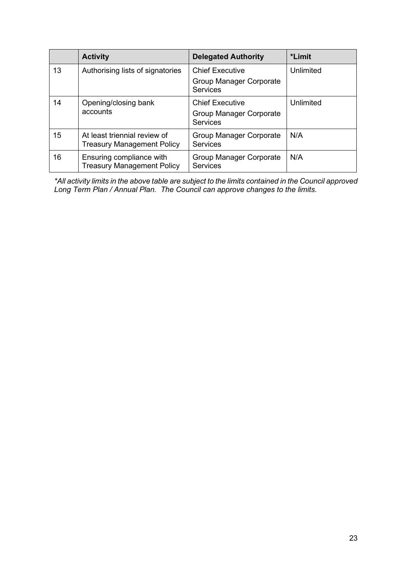|    | <b>Activity</b>                                                   | <b>Delegated Authority</b>                                           | *Limit    |
|----|-------------------------------------------------------------------|----------------------------------------------------------------------|-----------|
| 13 | Authorising lists of signatories                                  | <b>Chief Executive</b><br>Group Manager Corporate<br><b>Services</b> | Unlimited |
| 14 | Opening/closing bank<br>accounts                                  | <b>Chief Executive</b><br>Group Manager Corporate<br><b>Services</b> | Unlimited |
| 15 | At least triennial review of<br><b>Treasury Management Policy</b> | Group Manager Corporate<br><b>Services</b>                           | N/A       |
| 16 | Ensuring compliance with<br><b>Treasury Management Policy</b>     | Group Manager Corporate<br>Services                                  | N/A       |

*\*All activity limits in the above table are subject to the limits contained in the Council approved Long Term Plan / Annual Plan. The Council can approve changes to the limits.*